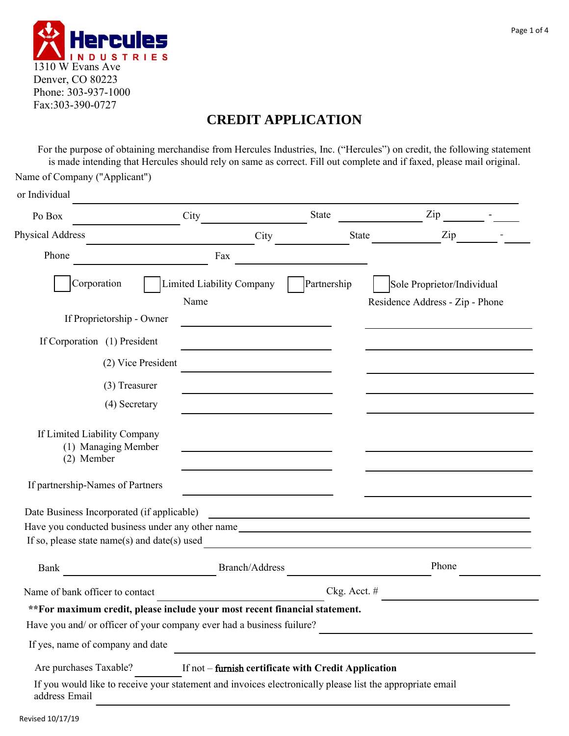

# **CREDIT APPLICATION**

For the purpose of obtaining merchandise from Hercules Industries, Inc. ("Hercules") on credit, the following statement is made intending that Hercules should rely on same as correct. Fill out complete and if faxed, please mail original.

| Name of Company ("Applicant")                                                                                                                  |                                   |                                                      |              |                                                                                                                      |  |
|------------------------------------------------------------------------------------------------------------------------------------------------|-----------------------------------|------------------------------------------------------|--------------|----------------------------------------------------------------------------------------------------------------------|--|
| or Individual                                                                                                                                  |                                   |                                                      |              |                                                                                                                      |  |
| Po Box                                                                                                                                         | City                              |                                                      | <b>State</b> | Zip                                                                                                                  |  |
| Physical Address                                                                                                                               |                                   | City                                                 | <b>State</b> | Zip                                                                                                                  |  |
| Phone                                                                                                                                          | Fax                               |                                                      |              |                                                                                                                      |  |
| Corporation                                                                                                                                    | Limited Liability Company<br>Name |                                                      | Partnership  | Sole Proprietor/Individual<br>Residence Address - Zip - Phone                                                        |  |
| If Proprietorship - Owner                                                                                                                      |                                   |                                                      |              |                                                                                                                      |  |
| If Corporation (1) President                                                                                                                   |                                   |                                                      |              |                                                                                                                      |  |
|                                                                                                                                                | (2) Vice President                |                                                      |              |                                                                                                                      |  |
| (3) Treasurer                                                                                                                                  |                                   |                                                      |              |                                                                                                                      |  |
| (4) Secretary                                                                                                                                  |                                   |                                                      |              |                                                                                                                      |  |
| If Limited Liability Company<br>(1) Managing Member<br>(2) Member                                                                              |                                   |                                                      |              |                                                                                                                      |  |
| If partnership-Names of Partners                                                                                                               |                                   |                                                      |              |                                                                                                                      |  |
| Date Business Incorporated (if applicable)<br>Have you conducted business under any other name<br>If so, please state name(s) and date(s) used |                                   |                                                      |              | <u> 1989 - Johann Stein, marwolaethau a bhann an t-Amhair an t-Amhair an t-Amhair an t-Amhair an t-Amhair an t-A</u> |  |
| Bank                                                                                                                                           |                                   | <b>Branch/Address</b>                                |              | Phone                                                                                                                |  |
| Name of bank officer to contact                                                                                                                |                                   | Ckg. Acct. #                                         |              |                                                                                                                      |  |
| **For maximum credit, please include your most recent financial statement.                                                                     |                                   |                                                      |              |                                                                                                                      |  |
| Have you and/ or officer of your company ever had a business fuilure?                                                                          |                                   |                                                      |              |                                                                                                                      |  |
| If yes, name of company and date                                                                                                               |                                   |                                                      |              |                                                                                                                      |  |
| Are purchases Taxable?                                                                                                                         |                                   | If not - furnish certificate with Credit Application |              |                                                                                                                      |  |
| If you would like to receive your statement and invoices electronically please list the appropriate email<br>address Email                     |                                   |                                                      |              |                                                                                                                      |  |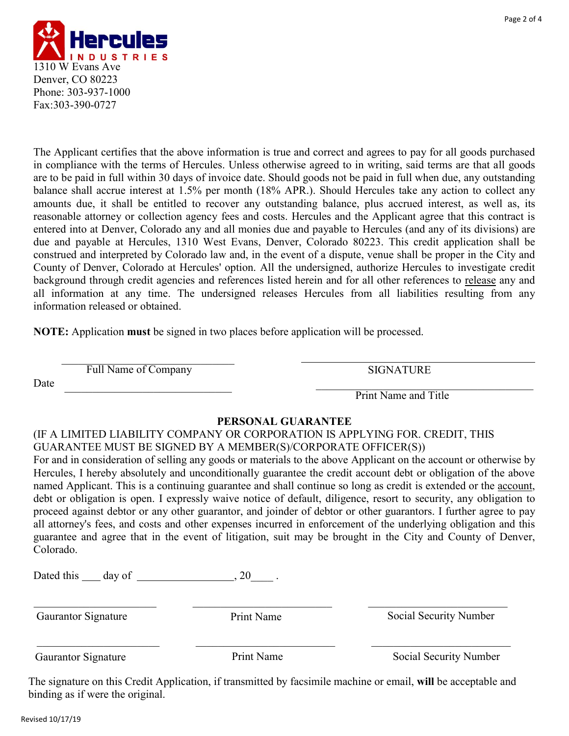

The Applicant certifies that the above information is true and correct and agrees to pay for all goods purchased in compliance with the terms of Hercules. Unless otherwise agreed to in writing, said terms are that all goods are to be paid in full within 30 days of invoice date. Should goods not be paid in full when due, any outstanding balance shall accrue interest at 1.5% per month (18% APR.). Should Hercules take any action to collect any amounts due, it shall be entitled to recover any outstanding balance, plus accrued interest, as well as, its reasonable attorney or collection agency fees and costs. Hercules and the Applicant agree that this contract is entered into at Denver, Colorado any and all monies due and payable to Hercules (and any of its divisions) are due and payable at Hercules, 1310 West Evans, Denver, Colorado 80223. This credit application shall be construed and interpreted by Colorado law and, in the event of a dispute, venue shall be proper in the City and County of Denver, Colorado at Hercules' option. All the undersigned, authorize Hercules to investigate credit background through credit agencies and references listed herein and for all other references to release any and all information at any time. The undersigned releases Hercules from all liabilities resulting from any information released or obtained.

**NOTE:** Application **must** be signed in two places before application will be processed.

Full Name of Company SIGNATURE  $\overline{\phantom{a}}$ 

Date

Print Name and Title  $\overline{P}$   $\overline{P}$   $\overline{P}$   $\overline{P}$   $\overline{P}$   $\overline{P}$   $\overline{P}$   $\overline{P}$   $\overline{P}$   $\overline{P}$   $\overline{P}$   $\overline{P}$   $\overline{P}$   $\overline{P}$   $\overline{P}$   $\overline{P}$   $\overline{P}$   $\overline{P}$   $\overline{P}$   $\overline{P}$   $\overline{P}$   $\overline{P}$   $\overline{P}$   $\overline{P}$   $\overline{$ 

## **PERSONAL GUARANTEE**

## (IF A LIMITED LIABILITY COMPANY OR CORPORATION IS APPLYING FOR. CREDIT, THIS GUARANTEE MUST BE SIGNED BY A MEMBER(S)/CORPORATE OFFICER(S))

For and in consideration of selling any goods or materials to the above Applicant on the account or otherwise by Hercules, I hereby absolutely and unconditionally guarantee the credit account debt or obligation of the above named Applicant. This is a continuing guarantee and shall continue so long as credit is extended or the account, debt or obligation is open. I expressly waive notice of default, diligence, resort to security, any obligation to proceed against debtor or any other guarantor, and joinder of debtor or other guarantors. I further agree to pay all attorney's fees, and costs and other expenses incurred in enforcement of the underlying obligation and this guarantee and agree that in the event of litigation, suit may be brought in the City and County of Denver, Colorado.

Dated this  $\_\_$  day of  $\_\_$  . 20  $\_\_$ .

Gaurantor Signature

Print Name

Social Security Number

Gaurantor Signature

Print Name Social Security Number

The signature on this Credit Application, if transmitted by facsimile machine or email, **will** be acceptable and binding as if were the original.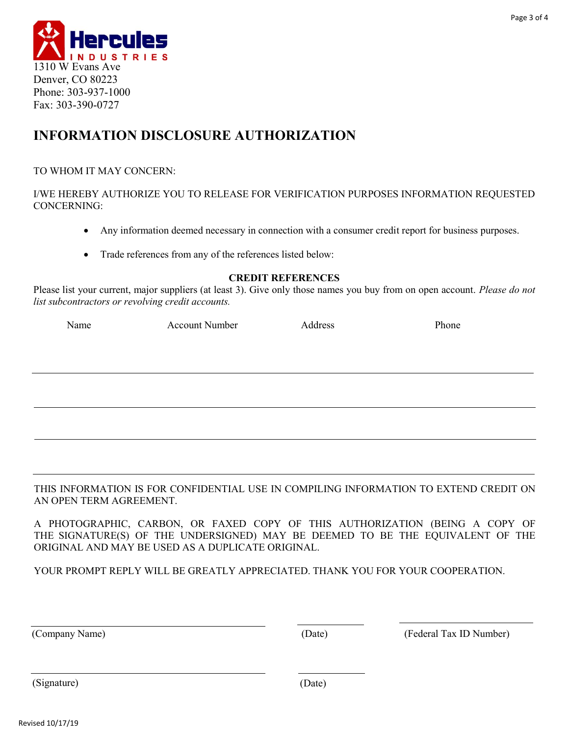

## **INFORMATION DISCLOSURE AUTHORIZATION**

#### TO WHOM IT MAY CONCERN:

I/WE HEREBY AUTHORIZE YOU TO RELEASE FOR VERIFICATION PURPOSES INFORMATION REQUESTED CONCERNING:

- Any information deemed necessary in connection with a consumer credit report for business purposes.
- Trade references from any of the references listed below:

#### **CREDIT REFERENCES**

Please list your current, major suppliers (at least 3). Give only those names you buy from on open account. *Please do not list subcontractors or revolving credit accounts.*

Name Account Number Address Phone

THIS INFORMATION IS FOR CONFIDENTIAL USE IN COMPILING INFORMATION TO EXTEND CREDIT ON AN OPEN TERM AGREEMENT.

A PHOTOGRAPHIC, CARBON, OR FAXED COPY OF THIS AUTHORIZATION (BEING A COPY OF THE SIGNATURE(S) OF THE UNDERSIGNED) MAY BE DEEMED TO BE THE EQUIVALENT OF THE ORIGINAL AND MAY BE USED AS A DUPLICATE ORIGINAL.

YOUR PROMPT REPLY WILL BE GREATLY APPRECIATED. THANK YOU FOR YOUR COOPERATION.

(Company Name) (Date) (Federal Tax ID Number)

(Signature) (Date)